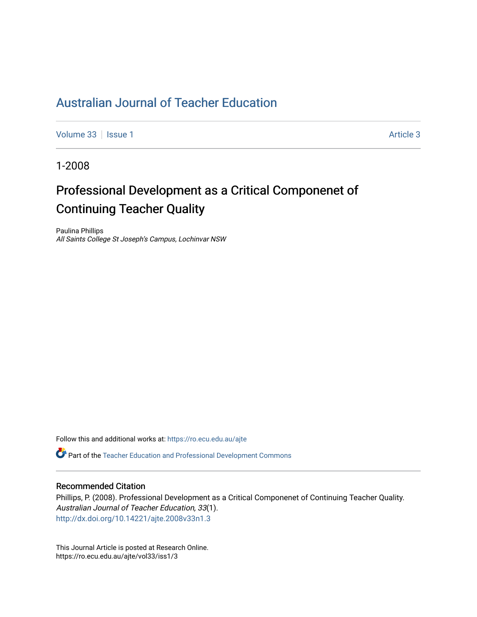### [Australian Journal of Teacher Education](https://ro.ecu.edu.au/ajte)

[Volume 33](https://ro.ecu.edu.au/ajte/vol33) | [Issue 1](https://ro.ecu.edu.au/ajte/vol33/iss1) Article 3

1-2008

## Professional Development as a Critical Componenet of Continuing Teacher Quality

Paulina Phillips All Saints College St Joseph's Campus, Lochinvar NSW

Follow this and additional works at: [https://ro.ecu.edu.au/ajte](https://ro.ecu.edu.au/ajte?utm_source=ro.ecu.edu.au%2Fajte%2Fvol33%2Fiss1%2F3&utm_medium=PDF&utm_campaign=PDFCoverPages) 

Part of the [Teacher Education and Professional Development Commons](http://network.bepress.com/hgg/discipline/803?utm_source=ro.ecu.edu.au%2Fajte%2Fvol33%2Fiss1%2F3&utm_medium=PDF&utm_campaign=PDFCoverPages)

### Recommended Citation

Phillips, P. (2008). Professional Development as a Critical Componenet of Continuing Teacher Quality. Australian Journal of Teacher Education, 33(1). <http://dx.doi.org/10.14221/ajte.2008v33n1.3>

This Journal Article is posted at Research Online. https://ro.ecu.edu.au/ajte/vol33/iss1/3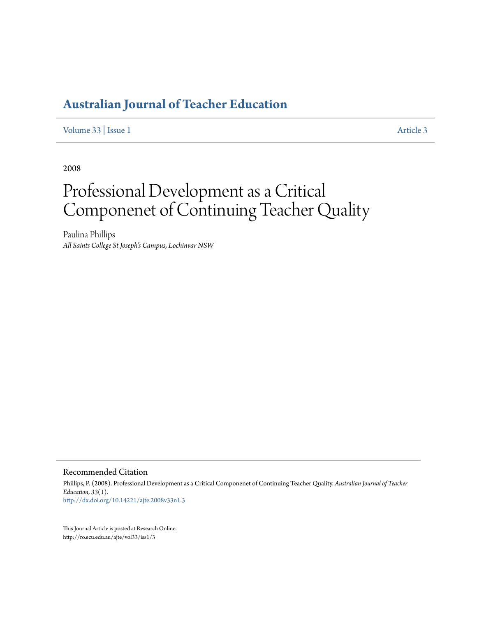## **[Australian Journal of Teacher Education](http://ro.ecu.edu.au/ajte)**

[Volume 33](http://ro.ecu.edu.au/ajte/vol33) | [Issue 1](http://ro.ecu.edu.au/ajte/vol33/iss1) [Article 3](http://ro.ecu.edu.au/ajte/vol33/iss1/3)

2008

# Professional Development as a Critical Componenet of Continuing Teacher Quality

Paulina Phillips *All Saints College St Joseph's Campus, Lochinvar NSW*

Recommended Citation

Phillips, P. (2008). Professional Development as a Critical Componenet of Continuing Teacher Quality. *Australian Journal of Teacher Education, 33*(1). <http://dx.doi.org/10.14221/ajte.2008v33n1.3>

This Journal Article is posted at Research Online. http://ro.ecu.edu.au/ajte/vol33/iss1/3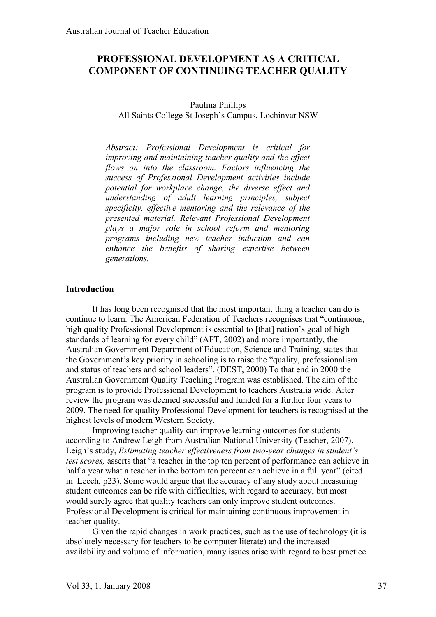### **PROFESSIONAL DEVELOPMENT AS A CRITICAL COMPONENT OF CONTINUING TEACHER QUALITY**

### Paulina Phillips All Saints College St Joseph's Campus, Lochinvar NSW

*Abstract: Professional Development is critical for improving and maintaining teacher quality and the effect flows on into the classroom. Factors influencing the success of Professional Development activities include potential for workplace change, the diverse effect and understanding of adult learning principles, subject specificity, effective mentoring and the relevance of the presented material. Relevant Professional Development plays a major role in school reform and mentoring programs including new teacher induction and can enhance the benefits of sharing expertise between generations.*

### **Introduction**

It has long been recognised that the most important thing a teacher can do is continue to learn. The American Federation of Teachers recognises that "continuous, high quality Professional Development is essential to [that] nation's goal of high standards of learning for every child" (AFT, 2002) and more importantly, the Australian Government Department of Education, Science and Training, states that the Government's key priority in schooling is to raise the "quality, professionalism and status of teachers and school leaders". (DEST, 2000) To that end in 2000 the Australian Government Quality Teaching Program was established. The aim of the program is to provide Professional Development to teachers Australia wide. After review the program was deemed successful and funded for a further four years to 2009. The need for quality Professional Development for teachers is recognised at the highest levels of modern Western Society.

Improving teacher quality can improve learning outcomes for students according to Andrew Leigh from Australian National University (Teacher, 2007). Leigh's study, *Estimating teacher effectiveness from two-year changes in student's test scores,* asserts that "a teacher in the top ten percent of performance can achieve in half a year what a teacher in the bottom ten percent can achieve in a full year" (cited in Leech, p23). Some would argue that the accuracy of any study about measuring student outcomes can be rife with difficulties, with regard to accuracy, but most would surely agree that quality teachers can only improve student outcomes. Professional Development is critical for maintaining continuous improvement in teacher quality.

Given the rapid changes in work practices, such as the use of technology (it is absolutely necessary for teachers to be computer literate) and the increased availability and volume of information, many issues arise with regard to best practice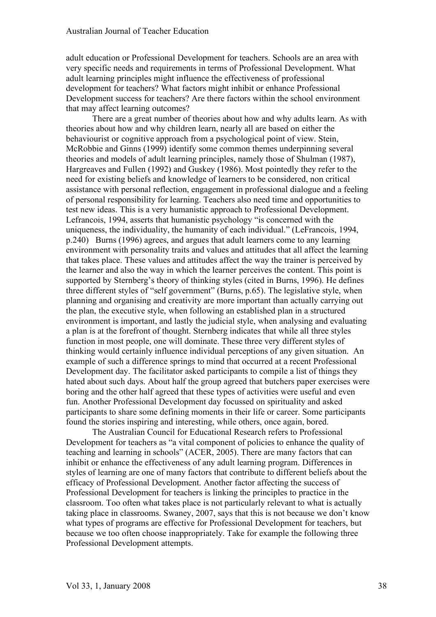adult education or Professional Development for teachers. Schools are an area with very specific needs and requirements in terms of Professional Development. What adult learning principles might influence the effectiveness of professional development for teachers? What factors might inhibit or enhance Professional Development success for teachers? Are there factors within the school environment that may affect learning outcomes?

There are a great number of theories about how and why adults learn. As with theories about how and why children learn, nearly all are based on either the behaviourist or cognitive approach from a psychological point of view. Stein, McRobbie and Ginns (1999) identify some common themes underpinning several theories and models of adult learning principles, namely those of Shulman (1987), Hargreaves and Fullen (1992) and Guskey (1986). Most pointedly they refer to the need for existing beliefs and knowledge of learners to be considered, non critical assistance with personal reflection, engagement in professional dialogue and a feeling of personal responsibility for learning. Teachers also need time and opportunities to test new ideas. This is a very humanistic approach to Professional Development. Lefrancois, 1994, asserts that humanistic psychology "is concerned with the uniqueness, the individuality, the humanity of each individual." (LeFrancois, 1994, p.240) Burns (1996) agrees, and argues that adult learners come to any learning environment with personality traits and values and attitudes that all affect the learning that takes place. These values and attitudes affect the way the trainer is perceived by the learner and also the way in which the learner perceives the content. This point is supported by Sternberg's theory of thinking styles (cited in Burns, 1996). He defines three different styles of "self government" (Burns, p.65). The legislative style, when planning and organising and creativity are more important than actually carrying out the plan, the executive style, when following an established plan in a structured environment is important, and lastly the judicial style, when analysing and evaluating a plan is at the forefront of thought. Sternberg indicates that while all three styles function in most people, one will dominate. These three very different styles of thinking would certainly influence individual perceptions of any given situation. An example of such a difference springs to mind that occurred at a recent Professional Development day. The facilitator asked participants to compile a list of things they hated about such days. About half the group agreed that butchers paper exercises were boring and the other half agreed that these types of activities were useful and even fun. Another Professional Development day focussed on spirituality and asked participants to share some defining moments in their life or career. Some participants found the stories inspiring and interesting, while others, once again, bored.

The Australian Council for Educational Research refers to Professional Development for teachers as "a vital component of policies to enhance the quality of teaching and learning in schools" (ACER, 2005). There are many factors that can inhibit or enhance the effectiveness of any adult learning program. Differences in styles of learning are one of many factors that contribute to different beliefs about the efficacy of Professional Development. Another factor affecting the success of Professional Development for teachers is linking the principles to practice in the classroom. Too often what takes place is not particularly relevant to what is actually taking place in classrooms. Swaney, 2007, says that this is not because we don't know what types of programs are effective for Professional Development for teachers, but because we too often choose inappropriately. Take for example the following three Professional Development attempts.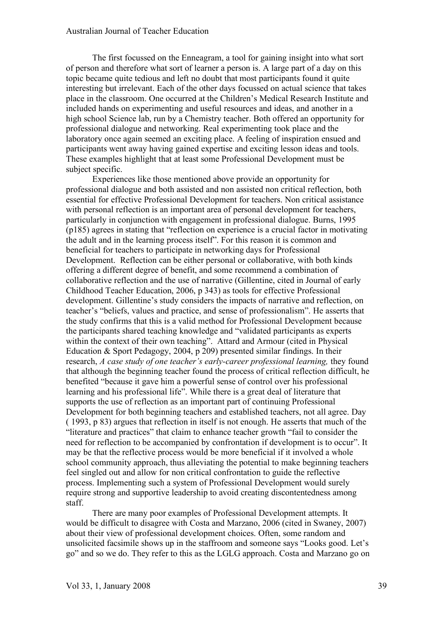The first focussed on the Enneagram, a tool for gaining insight into what sort of person and therefore what sort of learner a person is. A large part of a day on this topic became quite tedious and left no doubt that most participants found it quite interesting but irrelevant. Each of the other days focussed on actual science that takes place in the classroom. One occurred at the Children's Medical Research Institute and included hands on experimenting and useful resources and ideas, and another in a high school Science lab, run by a Chemistry teacher. Both offered an opportunity for professional dialogue and networking. Real experimenting took place and the laboratory once again seemed an exciting place. A feeling of inspiration ensued and participants went away having gained expertise and exciting lesson ideas and tools. These examples highlight that at least some Professional Development must be subject specific.

Experiences like those mentioned above provide an opportunity for professional dialogue and both assisted and non assisted non critical reflection, both essential for effective Professional Development for teachers. Non critical assistance with personal reflection is an important area of personal development for teachers, particularly in conjunction with engagement in professional dialogue. Burns, 1995 (p185) agrees in stating that "reflection on experience is a crucial factor in motivating the adult and in the learning process itself". For this reason it is common and beneficial for teachers to participate in networking days for Professional Development. Reflection can be either personal or collaborative, with both kinds offering a different degree of benefit, and some recommend a combination of collaborative reflection and the use of narrative (Gillentine, cited in Journal of early Childhood Teacher Education, 2006, p 343) as tools for effective Professional development. Gillentine's study considers the impacts of narrative and reflection, on teacher's "beliefs, values and practice, and sense of professionalism". He asserts that the study confirms that this is a valid method for Professional Development because the participants shared teaching knowledge and "validated participants as experts within the context of their own teaching". Attard and Armour (cited in Physical Education & Sport Pedagogy, 2004, p 209) presented similar findings. In their research, *A case study of one teacher's early-career professional learning,* they found that although the beginning teacher found the process of critical reflection difficult, he benefited "because it gave him a powerful sense of control over his professional learning and his professional life". While there is a great deal of literature that supports the use of reflection as an important part of continuing Professional Development for both beginning teachers and established teachers, not all agree. Day ( 1993, p 83) argues that reflection in itself is not enough. He asserts that much of the "literature and practices" that claim to enhance teacher growth "fail to consider the need for reflection to be accompanied by confrontation if development is to occur". It may be that the reflective process would be more beneficial if it involved a whole school community approach, thus alleviating the potential to make beginning teachers feel singled out and allow for non critical confrontation to guide the reflective process. Implementing such a system of Professional Development would surely require strong and supportive leadership to avoid creating discontentedness among staff.

There are many poor examples of Professional Development attempts. It would be difficult to disagree with Costa and Marzano, 2006 (cited in Swaney, 2007) about their view of professional development choices. Often, some random and unsolicited facsimile shows up in the staffroom and someone says "Looks good. Let's go" and so we do. They refer to this as the LGLG approach. Costa and Marzano go on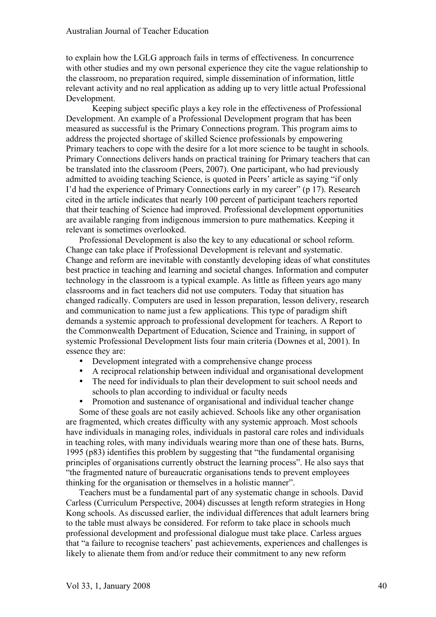to explain how the LGLG approach fails in terms of effectiveness. In concurrence with other studies and my own personal experience they cite the vague relationship to the classroom, no preparation required, simple dissemination of information, little relevant activity and no real application as adding up to very little actual Professional Development.

Keeping subject specific plays a key role in the effectiveness of Professional Development. An example of a Professional Development program that has been measured as successful is the Primary Connections program. This program aims to address the projected shortage of skilled Science professionals by empowering Primary teachers to cope with the desire for a lot more science to be taught in schools. Primary Connections delivers hands on practical training for Primary teachers that can be translated into the classroom (Peers, 2007). One participant, who had previously admitted to avoiding teaching Science, is quoted in Peers' article as saying "if only I'd had the experience of Primary Connections early in my career" (p 17). Research cited in the article indicates that nearly 100 percent of participant teachers reported that their teaching of Science had improved. Professional development opportunities are available ranging from indigenous immersion to pure mathematics. Keeping it relevant is sometimes overlooked.

Professional Development is also the key to any educational or school reform. Change can take place if Professional Development is relevant and systematic. Change and reform are inevitable with constantly developing ideas of what constitutes best practice in teaching and learning and societal changes. Information and computer technology in the classroom is a typical example. As little as fifteen years ago many classrooms and in fact teachers did not use computers. Today that situation has changed radically. Computers are used in lesson preparation, lesson delivery, research and communication to name just a few applications. This type of paradigm shift demands a systemic approach to professional development for teachers. A Report to the Commonwealth Department of Education, Science and Training, in support of systemic Professional Development lists four main criteria (Downes et al, 2001). In essence they are:

- Development integrated with a comprehensive change process
- A reciprocal relationship between individual and organisational development
- The need for individuals to plan their development to suit school needs and schools to plan according to individual or faculty needs
- Promotion and sustenance of organisational and individual teacher change

Some of these goals are not easily achieved. Schools like any other organisation are fragmented, which creates difficulty with any systemic approach. Most schools have individuals in managing roles, individuals in pastoral care roles and individuals in teaching roles, with many individuals wearing more than one of these hats. Burns, 1995 (p83) identifies this problem by suggesting that "the fundamental organising principles of organisations currently obstruct the learning process". He also says that "the fragmented nature of bureaucratic organisations tends to prevent employees thinking for the organisation or themselves in a holistic manner".

Teachers must be a fundamental part of any systematic change in schools. David Carless (Curriculum Perspective, 2004) discusses at length reform strategies in Hong Kong schools. As discussed earlier, the individual differences that adult learners bring to the table must always be considered. For reform to take place in schools much professional development and professional dialogue must take place. Carless argues that "a failure to recognise teachers' past achievements, experiences and challenges is likely to alienate them from and/or reduce their commitment to any new reform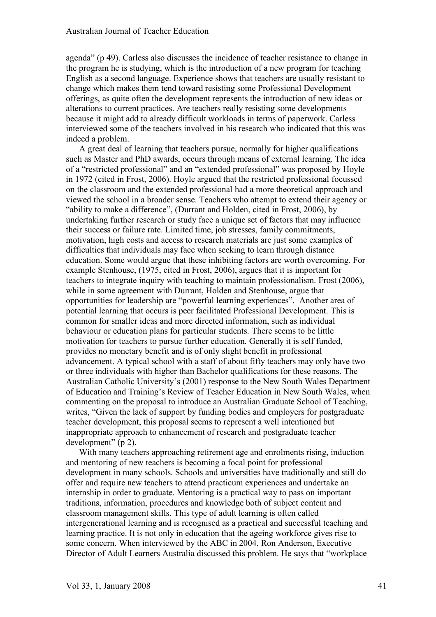agenda" (p 49). Carless also discusses the incidence of teacher resistance to change in the program he is studying, which is the introduction of a new program for teaching English as a second language. Experience shows that teachers are usually resistant to change which makes them tend toward resisting some Professional Development offerings, as quite often the development represents the introduction of new ideas or alterations to current practices. Are teachers really resisting some developments because it might add to already difficult workloads in terms of paperwork. Carless interviewed some of the teachers involved in his research who indicated that this was indeed a problem.

A great deal of learning that teachers pursue, normally for higher qualifications such as Master and PhD awards, occurs through means of external learning. The idea of a "restricted professional" and an "extended professional" was proposed by Hoyle in 1972 (cited in Frost, 2006). Hoyle argued that the restricted professional focussed on the classroom and the extended professional had a more theoretical approach and viewed the school in a broader sense. Teachers who attempt to extend their agency or "ability to make a difference", (Durrant and Holden, cited in Frost, 2006), by undertaking further research or study face a unique set of factors that may influence their success or failure rate. Limited time, job stresses, family commitments, motivation, high costs and access to research materials are just some examples of difficulties that individuals may face when seeking to learn through distance education. Some would argue that these inhibiting factors are worth overcoming. For example Stenhouse, (1975, cited in Frost, 2006), argues that it is important for teachers to integrate inquiry with teaching to maintain professionalism. Frost (2006), while in some agreement with Durrant, Holden and Stenhouse, argue that opportunities for leadership are "powerful learning experiences". Another area of potential learning that occurs is peer facilitated Professional Development. This is common for smaller ideas and more directed information, such as individual behaviour or education plans for particular students. There seems to be little motivation for teachers to pursue further education. Generally it is self funded, provides no monetary benefit and is of only slight benefit in professional advancement. A typical school with a staff of about fifty teachers may only have two or three individuals with higher than Bachelor qualifications for these reasons. The Australian Catholic University's (2001) response to the New South Wales Department of Education and Training's Review of Teacher Education in New South Wales, when commenting on the proposal to introduce an Australian Graduate School of Teaching, writes, "Given the lack of support by funding bodies and employers for postgraduate teacher development, this proposal seems to represent a well intentioned but inappropriate approach to enhancement of research and postgraduate teacher development" (p 2).

With many teachers approaching retirement age and enrolments rising, induction and mentoring of new teachers is becoming a focal point for professional development in many schools. Schools and universities have traditionally and still do offer and require new teachers to attend practicum experiences and undertake an internship in order to graduate. Mentoring is a practical way to pass on important traditions, information, procedures and knowledge both of subject content and classroom management skills. This type of adult learning is often called intergenerational learning and is recognised as a practical and successful teaching and learning practice. It is not only in education that the ageing workforce gives rise to some concern. When interviewed by the ABC in 2004, Ron Anderson, Executive Director of Adult Learners Australia discussed this problem. He says that "workplace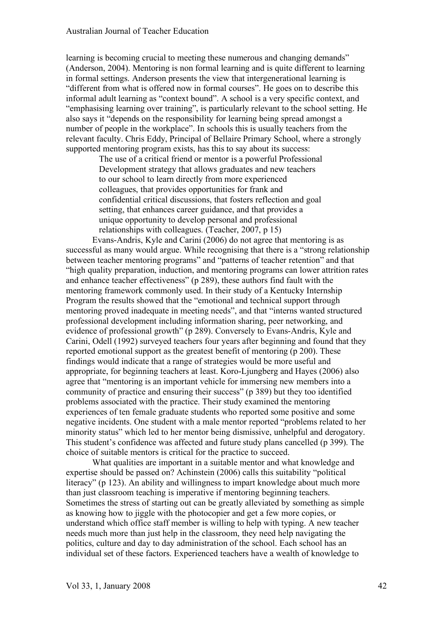learning is becoming crucial to meeting these numerous and changing demands" (Anderson, 2004). Mentoring is non formal learning and is quite different to learning in formal settings. Anderson presents the view that intergenerational learning is "different from what is offered now in formal courses". He goes on to describe this informal adult learning as "context bound". A school is a very specific context, and "emphasising learning over training", is particularly relevant to the school setting. He also says it "depends on the responsibility for learning being spread amongst a number of people in the workplace". In schools this is usually teachers from the relevant faculty. Chris Eddy, Principal of Bellaire Primary School, where a strongly supported mentoring program exists, has this to say about its success:

> The use of a critical friend or mentor is a powerful Professional Development strategy that allows graduates and new teachers to our school to learn directly from more experienced colleagues, that provides opportunities for frank and confidential critical discussions, that fosters reflection and goal setting, that enhances career guidance, and that provides a unique opportunity to develop personal and professional relationships with colleagues. (Teacher, 2007, p 15)

Evans-Andris, Kyle and Carini (2006) do not agree that mentoring is as successful as many would argue. While recognising that there is a "strong relationship between teacher mentoring programs" and "patterns of teacher retention" and that "high quality preparation, induction, and mentoring programs can lower attrition rates and enhance teacher effectiveness" (p 289), these authors find fault with the mentoring framework commonly used. In their study of a Kentucky Internship Program the results showed that the "emotional and technical support through mentoring proved inadequate in meeting needs", and that "interns wanted structured professional development including information sharing, peer networking, and evidence of professional growth" (p 289). Conversely to Evans-Andris, Kyle and Carini, Odell (1992) surveyed teachers four years after beginning and found that they reported emotional support as the greatest benefit of mentoring (p 200). These findings would indicate that a range of strategies would be more useful and appropriate, for beginning teachers at least. Koro-Ljungberg and Hayes (2006) also agree that "mentoring is an important vehicle for immersing new members into a community of practice and ensuring their success" (p 389) but they too identified problems associated with the practice. Their study examined the mentoring experiences of ten female graduate students who reported some positive and some negative incidents. One student with a male mentor reported "problems related to her minority status" which led to her mentor being dismissive, unhelpful and derogatory. This student's confidence was affected and future study plans cancelled (p 399). The choice of suitable mentors is critical for the practice to succeed.

What qualities are important in a suitable mentor and what knowledge and expertise should be passed on? Achinstein (2006) calls this suitability "political literacy" (p 123). An ability and willingness to impart knowledge about much more than just classroom teaching is imperative if mentoring beginning teachers. Sometimes the stress of starting out can be greatly alleviated by something as simple as knowing how to jiggle with the photocopier and get a few more copies, or understand which office staff member is willing to help with typing. A new teacher needs much more than just help in the classroom, they need help navigating the politics, culture and day to day administration of the school. Each school has an individual set of these factors. Experienced teachers have a wealth of knowledge to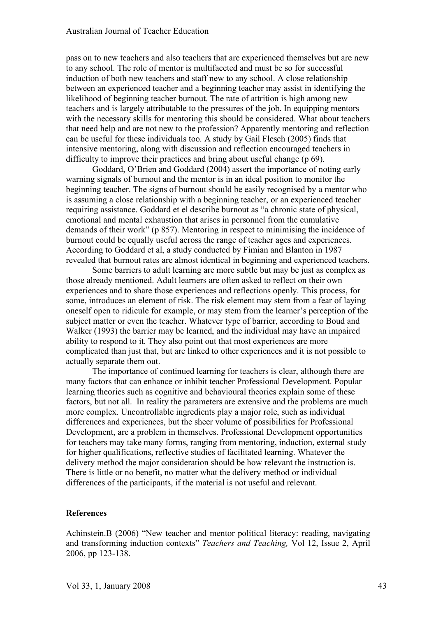pass on to new teachers and also teachers that are experienced themselves but are new to any school. The role of mentor is multifaceted and must be so for successful induction of both new teachers and staff new to any school. A close relationship between an experienced teacher and a beginning teacher may assist in identifying the likelihood of beginning teacher burnout. The rate of attrition is high among new teachers and is largely attributable to the pressures of the job. In equipping mentors with the necessary skills for mentoring this should be considered. What about teachers that need help and are not new to the profession? Apparently mentoring and reflection can be useful for these individuals too. A study by Gail Flesch (2005) finds that intensive mentoring, along with discussion and reflection encouraged teachers in difficulty to improve their practices and bring about useful change (p 69).

Goddard, O'Brien and Goddard (2004) assert the importance of noting early warning signals of burnout and the mentor is in an ideal position to monitor the beginning teacher. The signs of burnout should be easily recognised by a mentor who is assuming a close relationship with a beginning teacher, or an experienced teacher requiring assistance. Goddard et el describe burnout as "a chronic state of physical, emotional and mental exhaustion that arises in personnel from the cumulative demands of their work" (p 857). Mentoring in respect to minimising the incidence of burnout could be equally useful across the range of teacher ages and experiences. According to Goddard et al, a study conducted by Fimian and Blanton in 1987 revealed that burnout rates are almost identical in beginning and experienced teachers.

Some barriers to adult learning are more subtle but may be just as complex as those already mentioned. Adult learners are often asked to reflect on their own experiences and to share those experiences and reflections openly. This process, for some, introduces an element of risk. The risk element may stem from a fear of laying oneself open to ridicule for example, or may stem from the learner's perception of the subject matter or even the teacher. Whatever type of barrier, according to Boud and Walker (1993) the barrier may be learned, and the individual may have an impaired ability to respond to it. They also point out that most experiences are more complicated than just that, but are linked to other experiences and it is not possible to actually separate them out.

The importance of continued learning for teachers is clear, although there are many factors that can enhance or inhibit teacher Professional Development. Popular learning theories such as cognitive and behavioural theories explain some of these factors, but not all. In reality the parameters are extensive and the problems are much more complex. Uncontrollable ingredients play a major role, such as individual differences and experiences, but the sheer volume of possibilities for Professional Development, are a problem in themselves. Professional Development opportunities for teachers may take many forms, ranging from mentoring, induction, external study for higher qualifications, reflective studies of facilitated learning. Whatever the delivery method the major consideration should be how relevant the instruction is. There is little or no benefit, no matter what the delivery method or individual differences of the participants, if the material is not useful and relevant.

#### **References**

Achinstein.B (2006) "New teacher and mentor political literacy: reading, navigating and transforming induction contexts" *Teachers and Teaching,* Vol 12, Issue 2, April 2006, pp 123-138.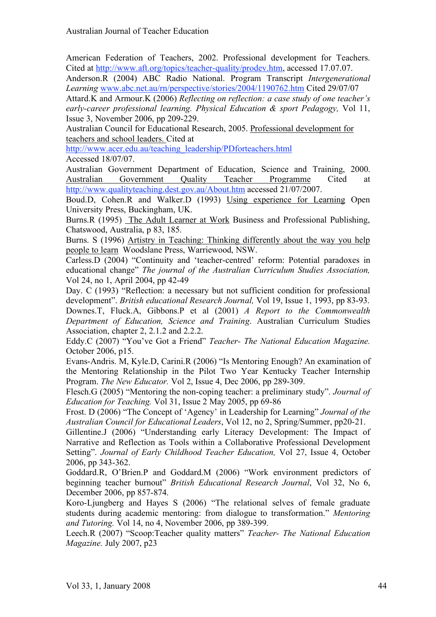American Federation of Teachers, 2002. Professional development for Teachers. Cited at http://www.aft.org/topics/teacher-quality/prodev.htm, accessed 17.07.07.

Anderson.R (2004) ABC Radio National. Program Transcript *Intergenerational Learning* www.abc.net.au/rn/perspective/stories/2004/1190762.htm Cited 29/07/07

Attard.K and Armour.K (2006) *Reflecting on reflection: a case study of one teacher's early-career professional learning. Physical Education & sport Pedagogy,* Vol 11, Issue 3, November 2006, pp 209-229.

Australian Council for Educational Research, 2005. Professional development for teachers and school leaders. Cited at

http://www.acer.edu.au/teaching\_leadership/PDforteachers.html

Accessed 18/07/07.

Australian Government Department of Education, Science and Training, 2000. Australian Government Quality Teacher Programme Cited at http://www.qualityteaching.dest.gov.au/About.htm accessed 21/07/2007.

Boud.D, Cohen.R and Walker.D (1993) Using experience for Learning Open University Press, Buckingham, UK.

Burns.R (1995) The Adult Learner at Work Business and Professional Publishing, Chatswood, Australia, p 83, 185.

Burns. S (1996) Artistry in Teaching: Thinking differently about the way you help people to learn Woodslane Press, Warriewood, NSW.

Carless.D (2004) "Continuity and 'teacher-centred' reform: Potential paradoxes in educational change" *The journal of the Australian Curriculum Studies Association,*  Vol 24, no 1, April 2004, pp 42-49

Day. C (1993) "Reflection: a necessary but not sufficient condition for professional development". *British educational Research Journal,* Vol 19, Issue 1, 1993, pp 83-93. Downes.T, Fluck.A, Gibbons.P et al (2001) *A Report to the Commonwealth Department of Education, Science and Training*. Australian Curriculum Studies Association, chapter 2, 2.1.2 and 2.2.2.

Eddy.C (2007) "You've Got a Friend" *Teacher- The National Education Magazine.*  October 2006, p15.

Evans-Andris. M, Kyle.D, Carini.R (2006) "Is Mentoring Enough? An examination of the Mentoring Relationship in the Pilot Two Year Kentucky Teacher Internship Program. *The New Educator.* Vol 2, Issue 4, Dec 2006, pp 289-309.

Flesch.G (2005) "Mentoring the non-coping teacher: a preliminary study". *Journal of Education for Teaching.* Vol 31, Issue 2 May 2005, pp 69-86

Frost. D (2006) "The Concept of 'Agency' in Leadership for Learning" *Journal of the Australian Council for Educational Leaders*, Vol 12, no 2, Spring/Summer, pp20-21.

Gillentine.J (2006) "Understanding early Literacy Development: The Impact of Narrative and Reflection as Tools within a Collaborative Professional Development Setting". *Journal of Early Childhood Teacher Education,* Vol 27, Issue 4, October 2006, pp 343-362.

Goddard.R, O'Brien.P and Goddard.M (2006) "Work environment predictors of beginning teacher burnout" *British Educational Research Journal*, Vol 32, No 6, December 2006, pp 857-874.

Koro-Ljungberg and Hayes S (2006) "The relational selves of female graduate students during academic mentoring: from dialogue to transformation." *Mentoring and Tutoring.* Vol 14, no 4, November 2006, pp 389-399.

Leech.R (2007) "Scoop:Teacher quality matters" *Teacher- The National Education Magazine.* July 2007, p23